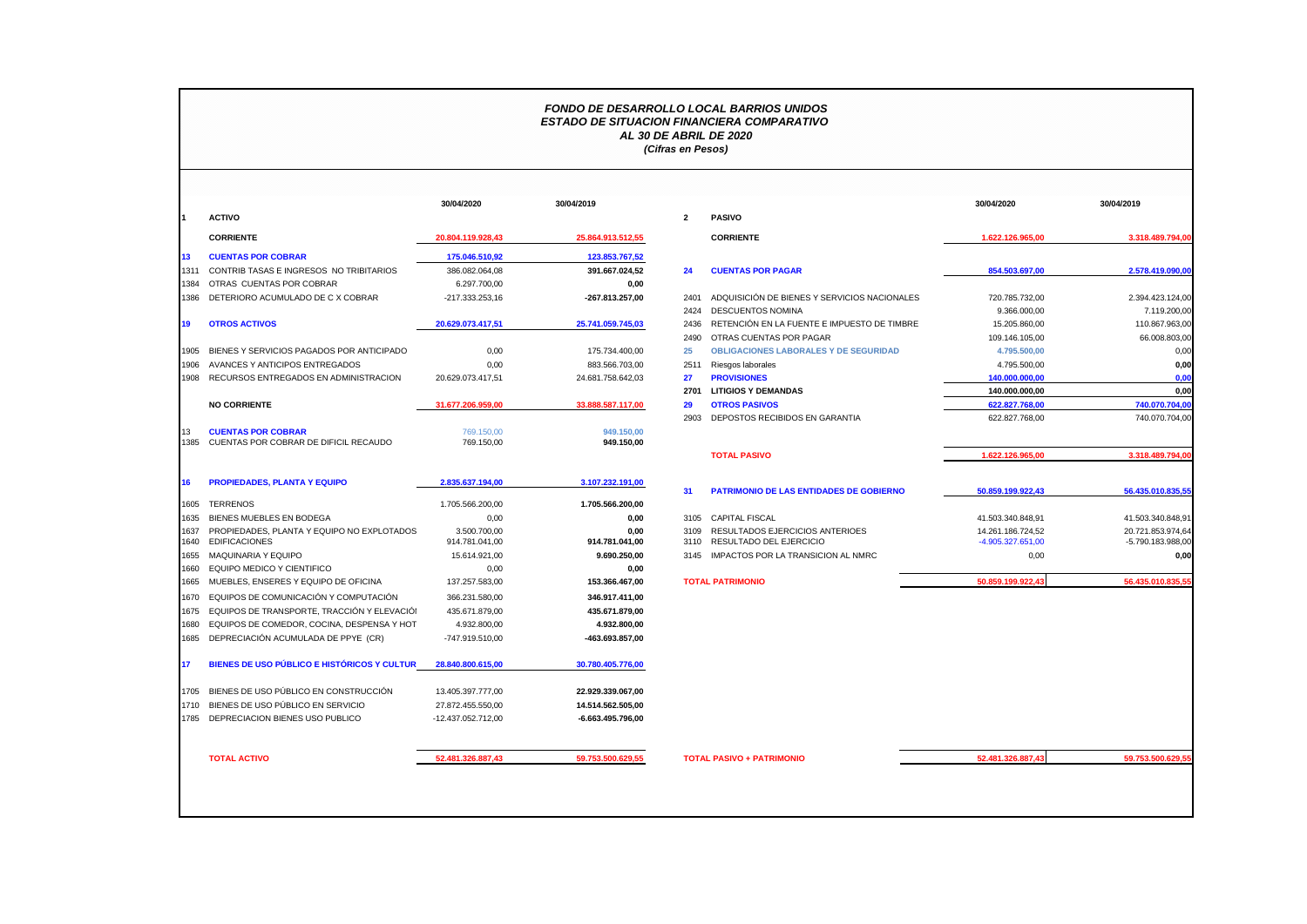## *FONDO DE DESARROLLO LOCAL BARRIOS UNIDOS ESTADO DE SITUACION FINANCIERA COMPARATIVO AL 30 DE ABRIL DE 2020 (Cifras en Pesos)*

|      |                                           | 30/04/2020        | 30/04/2019        |                |                    |
|------|-------------------------------------------|-------------------|-------------------|----------------|--------------------|
| 1    | <b>ACTIVO</b>                             |                   |                   | $\overline{2}$ | <b>PASIVO</b>      |
|      | <b>CORRIENTE</b>                          | 20.804.119.928,43 | 25.864.913.512,55 |                | <b>CORRIE</b>      |
| 13   | <b>CUENTAS POR COBRAR</b>                 | 175.046.510,92    | 123.853.767,52    |                |                    |
| 1311 | CONTRIB TASAS E INGRESOS NO TRIBITARIOS   | 386.082.064,08    | 391.667.024,52    | 24             | <b>CUENT/</b>      |
| 1384 | OTRAS CUENTAS POR COBRAR                  | 6.297.700,00      | 0.00              |                |                    |
| 1386 | DETERIORO ACUMULADO DE C X COBRAR         | $-217.333.253.16$ | -267.813.257.00   | 2401           | <b>ADQUIS</b>      |
|      |                                           |                   |                   | 2424           | <b>DESCUI</b>      |
| 19   | <b>OTROS ACTIVOS</b>                      | 20.629.073.417,51 | 25.741.059.745,03 | 2436           | <b>RETENO</b>      |
|      |                                           |                   |                   | 2490           | <b>OTRAS</b>       |
| 1905 | BIENES Y SERVICIOS PAGADOS POR ANTICIPADO | 0.00              | 175.734.400.00    | 25             | <b>OBLIGA</b>      |
| 1906 | AVANCES Y ANTICIPOS ENTREGADOS            | 0.00              | 883.566.703.00    | 2511           | Riesgos            |
| 1908 | RECURSOS ENTREGADOS EN ADMINISTRACION     | 20.629.073.417,51 | 24.681.758.642,03 | 27             | <b>PROVIS</b>      |
|      |                                           |                   |                   | 2701           | <b>LITIGIO</b>     |
|      | <b>NO CORRIENTE</b>                       | 31.677.206.959,00 | 33.888.587.117,00 | 29             | <b>OTROS</b>       |
|      |                                           |                   |                   | 2903           | DEPOS <sup>-</sup> |
| 13   | <b>CUENTAS POR COBRAR</b>                 | 769,150,00        | 949.150,00        |                |                    |
| 1385 | CUENTAS POR COBRAR DE DIFICIL RECAUDO     | 769.150,00        | 949.150,00        |                |                    |

|              |                                                                    | 30/04/2020                     | 30/04/2019             |                |                                                            | 30/04/2020                             | 30/04/2019                             |
|--------------|--------------------------------------------------------------------|--------------------------------|------------------------|----------------|------------------------------------------------------------|----------------------------------------|----------------------------------------|
|              | <b>ACTIVO</b>                                                      |                                |                        | $\overline{2}$ | <b>PASIVO</b>                                              |                                        |                                        |
|              | <b>CORRIENTE</b>                                                   | 20.804.119.928.43              | 25.864.913.512,55      |                | <b>CORRIENTE</b>                                           | 1.622.126.965.00                       | 3.318.489.794.00                       |
| 13           | <b>CUENTAS POR COBRAR</b>                                          | 175.046.510.92                 | 123.853.767,52         |                |                                                            |                                        |                                        |
| 1311         | CONTRIB TASAS E INGRESOS NO TRIBITARIOS                            | 386.082.064.08                 | 391.667.024.52         | 24             | <b>CUENTAS POR PAGAR</b>                                   | 854.503.697.00                         | 2.578.419.090,00                       |
| 1384         | OTRAS CUENTAS POR COBRAR                                           | 6.297.700.00                   | 0,00                   |                |                                                            |                                        |                                        |
| 1386         | DETERIORO ACUMULADO DE C X COBRAR                                  | $-217.333.253.16$              | -267.813.257.00        | 2401           | ADQUISICIÓN DE BIENES Y SERVICIOS NACIONALES               | 720.785.732.00                         | 2.394.423.124,00                       |
|              |                                                                    |                                |                        | 2424           | <b>DESCUENTOS NOMINA</b>                                   | 9.366.000.00                           | 7.119.200,00                           |
| 19           | <b>OTROS ACTIVOS</b>                                               | 20.629.073.417.51              | 25.741.059.745,03      | 2436           | RETENCIÓN EN LA FUENTE E IMPUESTO DE TIMBRE                | 15.205.860.00                          | 110.867.963,00                         |
|              |                                                                    |                                |                        | 2490           | OTRAS CUENTAS POR PAGAR                                    | 109.146.105.00                         | 66.008.803,00                          |
| 1905         | BIENES Y SERVICIOS PAGADOS POR ANTICIPADO                          | 0,00                           | 175.734.400.00         | 25             | <b>OBLIGACIONES LABORALES Y DE SEGURIDAD</b>               | 4.795.500,00                           | 0,00                                   |
|              | 1906 AVANCES Y ANTICIPOS ENTREGADOS                                | 0.00                           | 883.566.703.00         | 2511           | Riesgos laborales                                          | 4.795.500,00                           | 0,00                                   |
|              | 1908 RECURSOS ENTREGADOS EN ADMINISTRACION                         | 20.629.073.417.51              | 24.681.758.642.03      | 27             | <b>PROVISIONES</b>                                         | 140.000.000.00                         | 0,00                                   |
|              |                                                                    |                                |                        | 2701           | <b>LITIGIOS Y DEMANDAS</b>                                 | 140.000.000.00                         | 0.00                                   |
|              | <b>NO CORRIENTE</b>                                                | 31.677.206.959.00              | 33.888.587.117,00      | 29             | <b>OTROS PASIVOS</b>                                       | 622.827.768,00                         | 740.070.704,00                         |
|              |                                                                    |                                |                        | 2903           | DEPOSTOS RECIBIDOS EN GARANTIA                             | 622.827.768,00                         | 740.070.704,00                         |
| 13           | <b>CUENTAS POR COBRAR</b>                                          | 769,150,00                     | 949.150.00             |                |                                                            |                                        |                                        |
|              | 1385 CUENTAS POR COBRAR DE DIFICIL RECAUDO                         | 769.150.00                     | 949.150,00             |                |                                                            |                                        |                                        |
|              |                                                                    |                                |                        |                | <b>TOTAL PASIVO</b>                                        | 1.622.126.965.00                       | 3.318.489.794,00                       |
| 16           | <b>PROPIEDADES, PLANTA Y EQUIPO</b>                                | 2.835.637.194.00               | 3.107.232.191,00       |                |                                                            |                                        |                                        |
|              |                                                                    |                                |                        | 31             | <b>PATRIMONIO DE LAS ENTIDADES DE GOBIERNO</b>             | 50.859.199.922.43                      | 56.435.010.835,55                      |
| 1605         | <b>TERRENOS</b>                                                    | 1.705.566.200,00               | 1.705.566.200,00       |                |                                                            |                                        |                                        |
| 1635         | BIENES MUEBLES EN BODEGA                                           | 0,00                           | 0,00                   |                | 3105 CAPITAL FISCAL                                        | 41.503.340.848,91                      | 41.503.340.848,91                      |
| 1637<br>1640 | PROPIEDADES, PLANTA Y EQUIPO NO EXPLOTADOS<br><b>EDIFICACIONES</b> | 3.500.700,00<br>914.781.041,00 | 0,00<br>914.781.041,00 | 3109<br>3110   | RESULTADOS EJERCICIOS ANTERIOES<br>RESULTADO DEL EJERCICIO | 14.261.186.724,52<br>-4.905.327.651,00 | 20.721.853.974.64<br>-5.790.183.988,00 |
|              | 1655 MAQUINARIA Y EQUIPO                                           | 15.614.921,00                  | 9.690.250,00           |                | 3145 IMPACTOS POR LA TRANSICION AL NMRC                    | 0,00                                   | 0,00                                   |
| 1660         | EQUIPO MEDICO Y CIENTIFICO                                         | 0,00                           | 0,00                   |                |                                                            |                                        |                                        |
| 1665         | MUEBLES, ENSERES Y EQUIPO DE OFICINA                               | 137.257.583,00                 | 153.366.467.00         |                | <b>TOTAL PATRIMONIO</b>                                    | 50.859.199.922.43                      | 56.435.010.835,55                      |
|              | 1670 EQUIPOS DE COMUNICACIÓN Y COMPUTACIÓN                         | 366.231.580,00                 | 346.917.411.00         |                |                                                            |                                        |                                        |
|              | 1675 EQUIPOS DE TRANSPORTE. TRACCIÓN Y ELEVACIÓI                   | 435.671.879,00                 | 435.671.879,00         |                |                                                            |                                        |                                        |
|              | 1680 EQUIPOS DE COMEDOR, COCINA, DESPENSA Y HOT                    | 4.932.800,00                   | 4.932.800,00           |                |                                                            |                                        |                                        |
|              |                                                                    |                                |                        |                |                                                            |                                        |                                        |

| 3.107.232.191,00       | 2.835.637.194,00               | <b>PROPIEDADES, PLANTA Y EQUIPO</b>                                | 16           |
|------------------------|--------------------------------|--------------------------------------------------------------------|--------------|
| 1.705.566.200,00       | 1.705.566.200.00               | <b>TERRENOS</b>                                                    | 1605         |
| 0,00                   | 0,00                           | BIENES MUEBLES EN BODEGA                                           | 1635         |
| 0.00<br>914.781.041,00 | 3.500.700.00<br>914.781.041.00 | PROPIEDADES. PLANTA Y EQUIPO NO EXPLOTADOS<br><b>EDIFICACIONES</b> | 1637<br>1640 |
| 9.690.250,00           | 15.614.921,00                  | <b>MAQUINARIA Y EQUIPO</b>                                         | 1655         |
| 0,00                   | 0.00                           | EQUIPO MEDICO Y CIENTIFICO                                         | 1660         |
| 153.366.467.00         | 137.257.583.00                 | MUEBLES, ENSERES Y EQUIPO DE OFICINA                               | 1665         |
| 346.917.411.00         | 366.231.580.00                 | EQUIPOS DE COMUNICACIÓN Y COMPUTACIÓN                              | 1670         |
| 435.671.879,00         | 435.671.879.00                 | EQUIPOS DE TRANSPORTE, TRACCIÓN Y ELEVACIÓI                        | 1675         |
| 4.932.800,00           | 4.932.800.00                   | EQUIPOS DE COMEDOR, COCINA, DESPENSA Y HOT                         | 1680         |
| -463.693.857,00        | -747.919.510,00                | DEPRECIACIÓN ACUMULADA DE PPYE (CR)                                | 1685         |
| 30.780.405.776,00      | 28.840.800.615,00              | BIENES DE USO PÚBLICO E HISTÓRICOS Y CULTUR                        | 17           |
| 22.929.339.067,00      | 13.405.397.777,00              | BIENES DE USO PÚBLICO EN CONSTRUCCIÓN                              | 1705         |
| 14.514.562.505.00      | 27.872.455.550.00              | BIENES DE USO PÚBLICO EN SERVICIO                                  | 1710         |
| -6.663.495.796.00      | -12.437.052.712.00             | DEPRECIACION BIENES USO PUBLICO                                    | 1785         |
| 59.753.500.629,55      | 52.481.326.887,43              | <b>TOTAL ACTIVO</b>                                                |              |

**TOTAL ACTIVO 52.481.326.887,43 59.753.500.629,55 TOTAL PASIVO + PATRIMONIO 52.481.326.887,43 59.753.500.629,55**